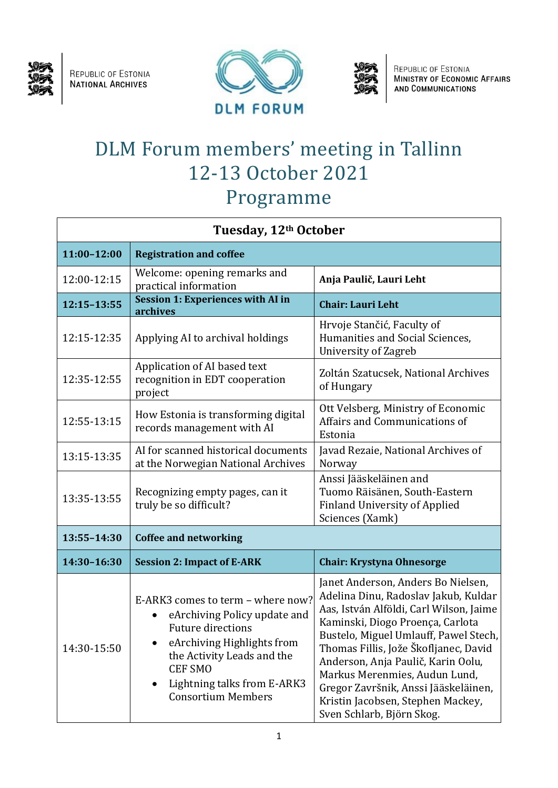

REPUBLIC OF ESTONIA<br>NATIONAL ARCHIVES





REPUBLIC OF ESTONIA<br>MINISTRY OF ECONOMIC AFFAIRS<br>AND COMMUNICATIONS

## DLM Forum members' meeting in Tallinn 12-13 October 2021 Programme

| Tuesday, 12 <sup>th</sup> October |                                                                                                                                                                                                                                                      |                                                                                                                                                                                                                                                                                                                                                                                                                              |  |  |
|-----------------------------------|------------------------------------------------------------------------------------------------------------------------------------------------------------------------------------------------------------------------------------------------------|------------------------------------------------------------------------------------------------------------------------------------------------------------------------------------------------------------------------------------------------------------------------------------------------------------------------------------------------------------------------------------------------------------------------------|--|--|
| 11:00-12:00                       | <b>Registration and coffee</b>                                                                                                                                                                                                                       |                                                                                                                                                                                                                                                                                                                                                                                                                              |  |  |
| 12:00-12:15                       | Welcome: opening remarks and<br>practical information                                                                                                                                                                                                | Anja Paulič, Lauri Leht                                                                                                                                                                                                                                                                                                                                                                                                      |  |  |
| 12:15-13:55                       | Session 1: Experiences with AI in<br>archives                                                                                                                                                                                                        | <b>Chair: Lauri Leht</b>                                                                                                                                                                                                                                                                                                                                                                                                     |  |  |
| 12:15-12:35                       | Applying AI to archival holdings                                                                                                                                                                                                                     | Hrvoje Stančić, Faculty of<br>Humanities and Social Sciences,<br>University of Zagreb                                                                                                                                                                                                                                                                                                                                        |  |  |
| 12:35-12:55                       | Application of AI based text<br>recognition in EDT cooperation<br>project                                                                                                                                                                            | Zoltán Szatucsek, National Archives<br>of Hungary                                                                                                                                                                                                                                                                                                                                                                            |  |  |
| 12:55-13:15                       | How Estonia is transforming digital<br>records management with AI                                                                                                                                                                                    | Ott Velsberg, Ministry of Economic<br>Affairs and Communications of<br>Estonia                                                                                                                                                                                                                                                                                                                                               |  |  |
| 13:15-13:35                       | AI for scanned historical documents<br>at the Norwegian National Archives                                                                                                                                                                            | Javad Rezaie, National Archives of<br>Norway                                                                                                                                                                                                                                                                                                                                                                                 |  |  |
| 13:35-13:55                       | Recognizing empty pages, can it<br>truly be so difficult?                                                                                                                                                                                            | Anssi Jääskeläinen and<br>Tuomo Räisänen, South-Eastern<br><b>Finland University of Applied</b><br>Sciences (Xamk)                                                                                                                                                                                                                                                                                                           |  |  |
| 13:55-14:30                       | <b>Coffee and networking</b>                                                                                                                                                                                                                         |                                                                                                                                                                                                                                                                                                                                                                                                                              |  |  |
| 14:30-16:30                       | <b>Session 2: Impact of E-ARK</b>                                                                                                                                                                                                                    | <b>Chair: Krystyna Ohnesorge</b>                                                                                                                                                                                                                                                                                                                                                                                             |  |  |
| 14:30-15:50                       | E-ARK3 comes to term - where now?<br>eArchiving Policy update and<br><b>Future directions</b><br>eArchiving Highlights from<br>the Activity Leads and the<br><b>CEF SMO</b><br>Lightning talks from E-ARK3<br>$\bullet$<br><b>Consortium Members</b> | Janet Anderson, Anders Bo Nielsen,<br>Adelina Dinu, Radoslav Jakub, Kuldar<br>Aas, István Alföldi, Carl Wilson, Jaime<br>Kaminski, Diogo Proença, Carlota<br>Bustelo, Miguel Umlauff, Pawel Stech,<br>Thomas Fillis, Jože Škofljanec, David<br>Anderson, Anja Paulič, Karin Oolu,<br>Markus Merenmies, Audun Lund,<br>Gregor Završnik, Anssi Jääskeläinen,<br>Kristin Jacobsen, Stephen Mackey,<br>Sven Schlarb, Björn Skog. |  |  |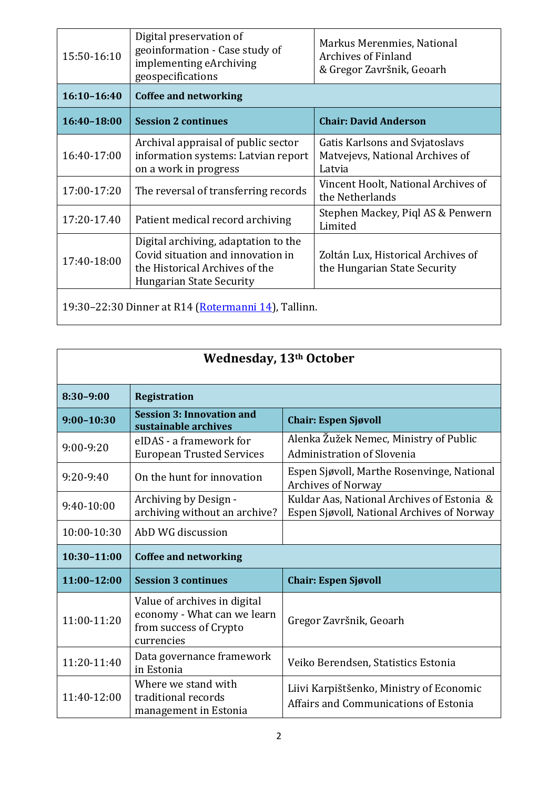| 15:50-16:10                                         | Digital preservation of<br>geoinformation - Case study of<br>implementing eArchiving<br>geospecifications                                      | Markus Merenmies, National<br><b>Archives of Finland</b><br>& Gregor Završnik, Geoarh |  |  |
|-----------------------------------------------------|------------------------------------------------------------------------------------------------------------------------------------------------|---------------------------------------------------------------------------------------|--|--|
| $16:10 - 16:40$                                     | <b>Coffee and networking</b>                                                                                                                   |                                                                                       |  |  |
| 16:40-18:00                                         | <b>Session 2 continues</b>                                                                                                                     | <b>Chair: David Anderson</b>                                                          |  |  |
| 16:40-17:00                                         | Archival appraisal of public sector<br>information systems: Latvian report<br>on a work in progress                                            | Gatis Karlsons and Svjatoslavs<br>Matvejevs, National Archives of<br>Latvia           |  |  |
| 17:00-17:20                                         | The reversal of transferring records                                                                                                           | Vincent Hoolt, National Archives of<br>the Netherlands                                |  |  |
| 17:20-17.40                                         | Patient medical record archiving                                                                                                               | Stephen Mackey, Piql AS & Penwern<br>Limited                                          |  |  |
| 17:40-18:00                                         | Digital archiving, adaptation to the<br>Covid situation and innovation in<br>the Historical Archives of the<br><b>Hungarian State Security</b> | Zoltán Lux, Historical Archives of<br>the Hungarian State Security                    |  |  |
| 19:30–22:30 Dinner at R14 (Rotermanni 14), Tallinn. |                                                                                                                                                |                                                                                       |  |  |

| Wednesday, 13th October |                                                                                                     |                                                                                          |  |  |
|-------------------------|-----------------------------------------------------------------------------------------------------|------------------------------------------------------------------------------------------|--|--|
| $8:30-9:00$             | <b>Registration</b>                                                                                 |                                                                                          |  |  |
| $9:00 - 10:30$          | <b>Session 3: Innovation and</b><br>sustainable archives                                            | <b>Chair: Espen Sjøvoll</b>                                                              |  |  |
| $9:00 - 9:20$           | eIDAS - a framework for<br><b>European Trusted Services</b>                                         | Alenka Žužek Nemec, Ministry of Public<br>Administration of Slovenia                     |  |  |
| $9:20-9:40$             | On the hunt for innovation                                                                          | Espen Sjøvoll, Marthe Rosenvinge, National<br><b>Archives of Norway</b>                  |  |  |
| 9:40-10:00              | Archiving by Design -<br>archiving without an archive?                                              | Kuldar Aas, National Archives of Estonia &<br>Espen Sjøvoll, National Archives of Norway |  |  |
| 10:00-10:30             | AbD WG discussion                                                                                   |                                                                                          |  |  |
| $10:30 - 11:00$         | <b>Coffee and networking</b>                                                                        |                                                                                          |  |  |
| 11:00-12:00             | <b>Session 3 continues</b>                                                                          | <b>Chair: Espen Sjøvoll</b>                                                              |  |  |
| 11:00-11:20             | Value of archives in digital<br>economy - What can we learn<br>from success of Crypto<br>currencies | Gregor Završnik, Geoarh                                                                  |  |  |
| 11:20-11:40             | Data governance framework<br>in Estonia                                                             | Veiko Berendsen, Statistics Estonia                                                      |  |  |
| 11:40-12:00             | Where we stand with<br>traditional records<br>management in Estonia                                 | Liivi Karpištšenko, Ministry of Economic<br>Affairs and Communications of Estonia        |  |  |